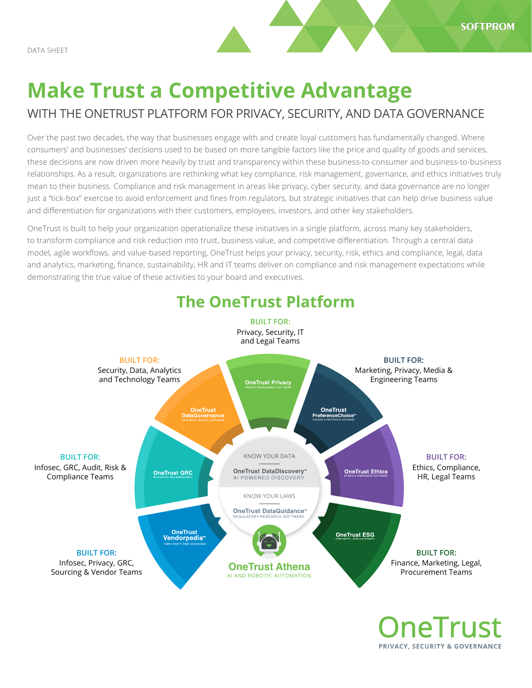# **Make Trust a Competitive Advantage**

# WITH THE ONETRUST PLATFORM FOR PRIVACY, SECURITY, AND DATA GOVERNANCE

Over the past two decades, the way that businesses engage with and create loyal customers has fundamentally changed. Where consumers' and businesses' decisions used to be based on more tangible factors like the price and quality of goods and services, these decisions are now driven more heavily by trust and transparency within these business-to-consumer and business-to-business relationships. As a result, organizations are rethinking what key compliance, risk management, governance, and ethics initiatives truly mean to their business. Compliance and risk management in areas like privacy, cyber security, and data governance are no longer just a "tick-box" exercise to avoid enforcement and fines from regulators, but strategic initiatives that can help drive business value and differentiation for organizations with their customers, employees, investors, and other key stakeholders.

OneTrust is built to help your organization operationalize these initiatives in a single platform, across many key stakeholders, to transform compliance and risk reduction into trust, business value, and competitive differentiation. Through a central data model, agile workflows, and value-based reporting, OneTrust helps your privacy, security, risk, ethics and compliance, legal, data and analytics, marketing, finance, sustainability, HR and IT teams deliver on compliance and risk management expectations while demonstrating the true value of these activities to your board and executives.



**OneTrust** PRIVACY, SECURITY & GOVERNANCE